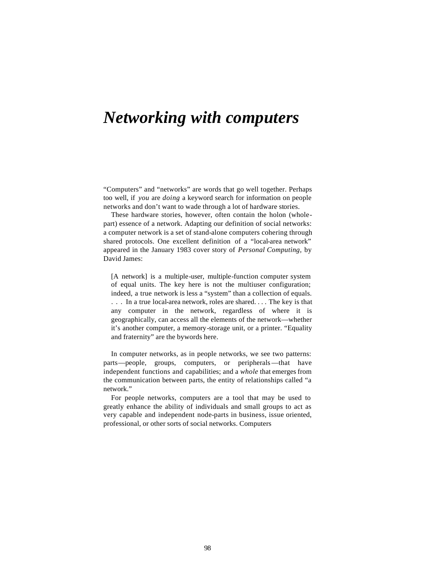# *Networking with computers*

"Computers" and "networks" are words that go well together. Perhaps too well, if *you* are *doing* a keyword search for information on people networks and don't want to wade through a lot of hardware stories.

These hardware stories, however, often contain the holon (wholepart) essence of a network. Adapting our definition of social networks: a computer network is a set of stand-alone computers cohering through shared protocols. One excellent definition of a "local-area network" appeared in the January 1983 cover story of *Personal Computing,* by David James:

[A network] is a multiple-user, multiple-function computer system of equal units. The key here is not the multiuser configuration; indeed, a true network is less a "system" than a collection of equals. . . . In a true local-area network, roles are shared. . . . The key is that any computer in the network, regardless of where it is geographically, can access all the elements of the network—whether it's another computer, a memory-storage unit, or a printer. "Equality and fraternity" are the bywords here.

In computer networks, as in people networks, we see two patterns: parts—people, groups, computers, or peripherals—that have independent functions and capabilities; and a *whole* that emerges from the communication between parts, the entity of relationships called "a network."

For people networks, computers are a tool that may be used to greatly enhance the ability of individuals and small groups to act as very capable and independent node-parts in business, issue oriented, professional, or other sorts of social networks. Computers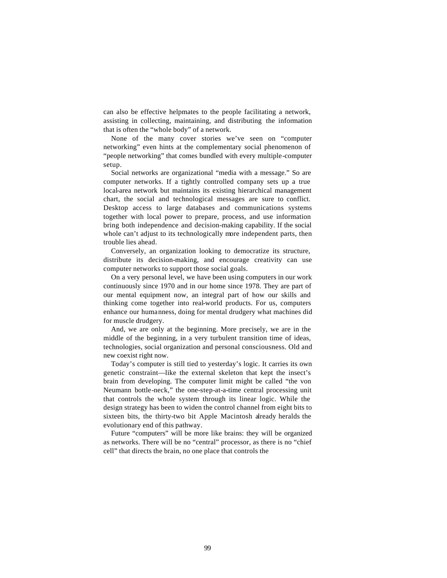can also be effective helpmates to the people facilitating a network, assisting in collecting, maintaining, and distributing the information that is often the "whole body" of a network.

None of the many cover stories we've seen on "computer networking" even hints at the complementary social phenomenon of "people networking" that comes bundled with every multiple-computer setup.

Social networks are organizational "media with a message." So are computer networks. If a tightly controlled company sets up a true local-area network but maintains its existing hierarchical management chart, the social and technological messages are sure to conflict. Desktop access to large databases and communications systems together with local power to prepare, process, and use information bring both independence and decision-making capability. If the social whole can't adjust to its technologically more independent parts, then trouble lies ahead.

Conversely, an organization looking to democratize its structure, distribute its decision-making, and encourage creativity can use computer networks to support those social goals.

On a very personal level, we have been using computers in our work continuously since 1970 and in our home since 1978. They are part of our mental equipment now, an integral part of how our skills and thinking come together into real-world products. For us, computers enhance our humanness, doing for mental drudgery what machines did for muscle drudgery.

And, we are only at the beginning. More precisely, we are in the middle of the beginning, in a very turbulent transition time of ideas, technologies, social organization and personal consciousness. Old and new coexist right now.

Today's computer is still tied to yesterday's logic. It carries its own genetic constraint—like the external skeleton that kept the insect's brain from developing. The computer limit might be called "the von Neumann bottle-neck," the one-step-at-a-time central processing unit that controls the whole system through its linear logic. While the design strategy has been to widen the control channel from eight bits to sixteen bits, the thirty-two bit Apple Macintosh already heralds the evolutionary end of this pathway.

Future "computers" will be more like brains: they will be organized as networks. There will be no "central" processor, as there is no "chief cell" that directs the brain, no one place that controls the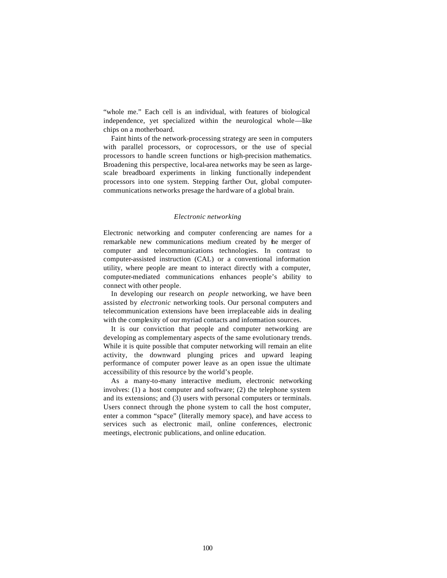"whole me." Each cell is an individual, with features of biological independence, yet specialized within the neurological whole—like chips on a motherboard.

Faint hints of the network-processing strategy are seen in computers with parallel processors, or coprocessors, or the use of special processors to handle screen functions or high-precision mathematics. Broadening this perspective, local-area networks may be seen as largescale breadboard experiments in linking functionally independent processors into one system. Stepping farther Out, global computercommunications networks presage the hardware of a global brain.

#### *Electronic networking*

Electronic networking and computer conferencing are names for a remarkable new communications medium created by the merger of computer and telecommunications technologies. In contrast to computer-assisted instruction (CAL) or a conventional information utility, where people are meant to interact directly with a computer, computer-mediated communications enhances people's ability to connect with other people.

In developing our research on *people* networking, we have been assisted by *electronic* networking tools. Our personal computers and telecommunication extensions have been irreplaceable aids in dealing with the complexity of our myriad contacts and information sources.

It is our conviction that people and computer networking are developing as complementary aspects of the same evolutionary trends. While it is quite possible that computer networking will remain an elite activity, the downward plunging prices and upward leaping performance of computer power leave as an open issue the ultimate accessibility of this resource by the world's people.

As a many-to-many interactive medium, electronic networking involves: (1) a host computer and software; (2) the telephone system and its extensions; and (3) users with personal computers or terminals. Users connect through the phone system to call the host computer, enter a common "space" (literally memory space), and have access to services such as electronic mail, online conferences, electronic meetings, electronic publications, and online education.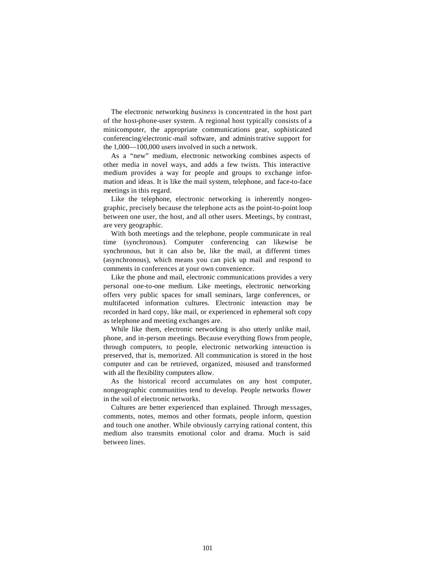The electronic networking *business* is concentrated in the host part of the host-phone-user system. A regional host typically consists of a minicomputer, the appropriate communications gear, sophisticated conferencing/electronic-mail software, and administrative support for the 1,000—100,000 users involved in such a network.

As a "new" medium, electronic networking combines aspects of other media in novel ways, and adds a few twists. This interactive medium provides a way for people and groups to exchange information and ideas. It is like the mail system, telephone, and face-to-face meetings in this regard.

Like the telephone, electronic networking is inherently nongeographic, precisely because the telephone acts as the point-to-point loop between one user, the host, and all other users. Meetings, by contrast, are very geographic.

With both meetings and the telephone, people communicate in real time (synchronous). Computer conferencing can likewise be synchronous, but it can also be, like the mail, at different times (asynchronous), which means you can pick up mail and respond to comments in conferences at your own convenience.

Like the phone and mail, electronic communications provides a very personal one-to-one medium. Like meetings, electronic networking offers very public spaces for small seminars, large conferences, or multifaceted information cultures. Electronic interaction may be recorded in hard copy, like mail, or experienced in ephemeral soft copy as telephone and meeting exchanges are.

While like them, electronic networking is also utterly unlike mail, phone, and in-person meetings. Because everything flows from people, through computers, to people, electronic networking interaction is preserved, that is, memorized. All communication is stored in the host computer and can be retrieved, organized, misused and transformed with all the flexibility computers allow.

As the historical record accumulates on any host computer, nongeographic communities tend to develop. People networks flower in the soil of electronic networks.

Cultures are better experienced than explained. Through messages, comments, notes, memos and other formats, people inform, question and touch one another. While obviously carrying rational content, this medium also transmits emotional color and drama. Much is said between lines.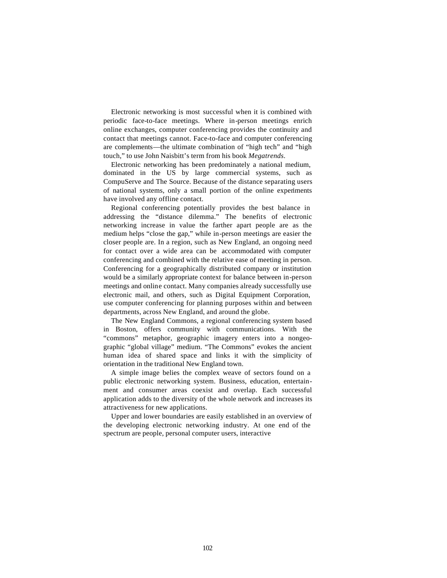Electronic networking is most successful when it is combined with periodic face-to-face meetings. Where in-person meetings enrich online exchanges, computer conferencing provides the continuity and contact that meetings cannot. Face-to-face and computer conferencing are complements—the ultimate combination of "high tech" and "high touch," to use John Naisbitt's term from his book *Megatrends.*

Electronic networking has been predominately a national medium, dominated in the US by large commercial systems, such as CompuServe and The Source. Because of the distance separating users of national systems, only a small portion of the online experiments have involved any offline contact.

Regional conferencing potentially provides the best balance in addressing the "distance dilemma." The benefits of electronic networking increase in value the farther apart people are as the medium helps "close the gap," while in-person meetings are easier the closer people are. In a region, such as New England, an ongoing need for contact over a wide area can be accommodated with computer conferencing and combined with the relative ease of meeting in person. Conferencing for a geographically distributed company or institution would be a similarly appropriate context for balance between in-person meetings and online contact. Many companies already successfully use electronic mail, and others, such as Digital Equipment Corporation, use computer conferencing for planning purposes within and between departments, across New England, and around the globe.

The New England Commons, a regional conferencing system based in Boston, offers community with communications. With the "commons" metaphor, geographic imagery enters into a nongeographic "global village" medium. "The Commons" evokes the ancient human idea of shared space and links it with the simplicity of orientation in the traditional New England town.

A simple image belies the complex weave of sectors found on a public electronic networking system. Business, education, entertainment and consumer areas coexist and overlap. Each successful application adds to the diversity of the whole network and increases its attractiveness for new applications.

Upper and lower boundaries are easily established in an overview of the developing electronic networking industry. At one end of the spectrum are people, personal computer users, interactive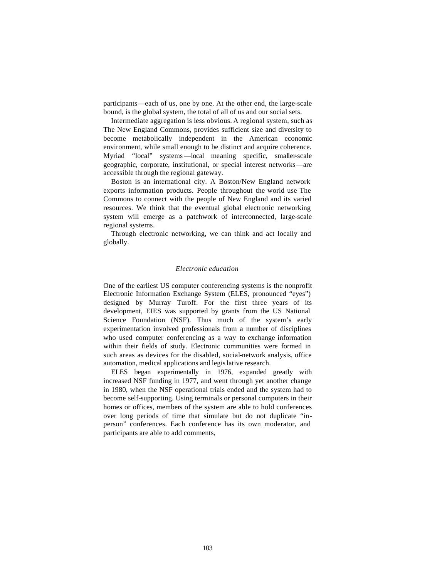participants—each of us, one by one. At the other end, the large-scale bound, is the global system, the total of all of us and our social sets.

Intermediate aggregation is less obvious. A regional system, such as The New England Commons, provides sufficient size and diversity to become metabolically independent in the American economic environment, while small enough to be distinct and acquire coherence. Myriad "local" systems—local meaning specific, smaller-scale geographic, corporate, institutional, or special interest networks—are accessible through the regional gateway.

Boston is an international city. A Boston/New England network exports information products. People throughout the world use The Commons to connect with the people of New England and its varied resources. We think that the eventual global electronic networking system will emerge as a patchwork of interconnected, large-scale regional systems.

Through electronic networking, we can think and act locally and globally.

## *Electronic education*

One of the earliest US computer conferencing systems is the nonprofit Electronic Information Exchange System (ELES, pronounced "eyes") designed by Murray Turoff. For the first three years of its development, EIES was supported by grants from the US National Science Foundation (NSF). Thus much of the system's early experimentation involved professionals from a number of disciplines who used computer conferencing as a way to exchange information within their fields of study. Electronic communities were formed in such areas as devices for the disabled, social-network analysis, office automation, medical applications and legislative research.

ELES began experimentally in 1976, expanded greatly with increased NSF funding in 1977, and went through yet another change in 1980, when the NSF operational trials ended and the system had to become self-supporting. Using terminals or personal computers in their homes or offices, members of the system are able to hold conferences over long periods of time that simulate but do not duplicate "inperson" conferences. Each conference has its own moderator, and participants are able to add comments,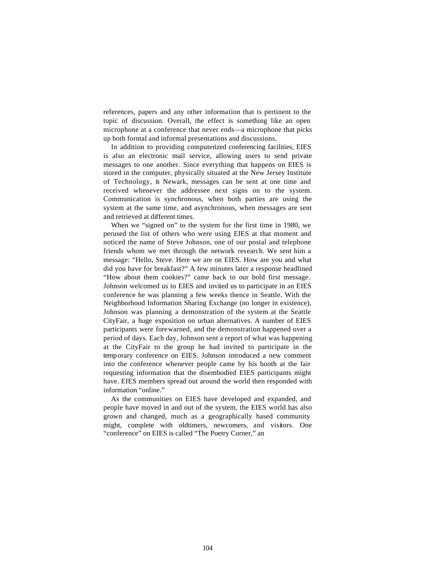references, papers and any other information that is pertinent to the topic of discussion. Overall, the effect is something like an open microphone at a conference that never ends—a microphone that picks up both formal and informal presentations and discussions.

In addition to providing computerized conferencing facilities, EIES is also an electronic mail service, allowing users to send private messages to one another. Since everything that happens on EIES is stored in the computer, physically situated at the New Jersey Institute of Technology, in Newark, messages can be sent at one time and received whenever the addressee next signs on to the system. Communication is synchronous, when both parties are using the system at the same time, and asynchronous, when messages are sent and retrieved at different times.

When we "signed on" to the system for the first time in 1980, we perused the list of others who were using EIES at that moment and noticed the name of Steve Johnson, one of our postal and telephone friends whom we met through the network research. We sent him a message: "Hello, Steve. Here we are on EIES. How are you and what did you have for breakfast?" A few minutes later a response headlined "How about them cookies?" came back to our bold first message. Johnson welcomed us to EIES and invited us to participate in an EIES conference he was planning a few weeks thence in Seattle. With the Neighborhood Information Sharing Exchange (no longer in existence), Johnson was planning a demonstration of the system at the Seattle CityFair, a huge exposition on urban alternatives. A number of EIES participants were forewarned, and the demonstration happened over a period of days. Each day, Johnson sent a report of what was happening at the CityFair to the group he had invited to participate in the temporary conference on EIES. Johnson introduced a new comment into the conference whenever people came by his booth at the fair requesting information that the disembodied EIES participants might have. EIES members spread out around the world then responded with information "online."

As the communities on EIES have developed and expanded, and people have moved in and out of the system, the EIES world has also grown and changed, much as a geographically based community might, complete with oldtimers, newcomers, and visitors. One "conference" on EIES is called "The Poetry Corner," an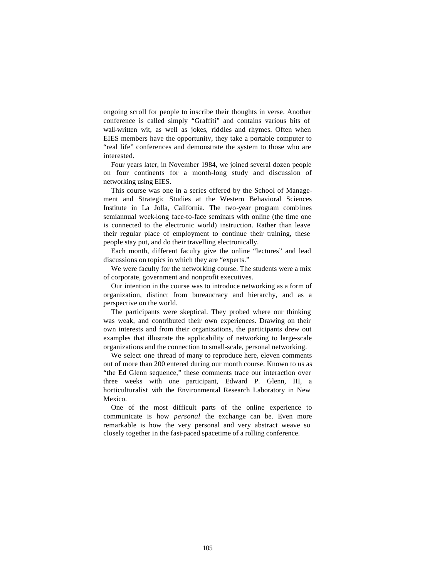ongoing scroll for people to inscribe their thoughts in verse. Another conference is called simply "Graffiti" and contains various bits of wall-written wit, as well as jokes, riddles and rhymes. Often when EIES members have the opportunity, they take a portable computer to "real life" conferences and demonstrate the system to those who are interested.

Four years later, in November 1984, we joined several dozen people on four continents for a month-long study and discussion of networking using EIES.

This course was one in a series offered by the School of Management and Strategic Studies at the Western Behavioral Sciences Institute in La Jolla, California. The two-year program comb ines semiannual week-long face-to-face seminars with online (the time one is connected to the electronic world) instruction. Rather than leave their regular place of employment to continue their training, these people stay put, and do their travelling electronically.

Each month, different faculty give the online "lectures" and lead discussions on topics in which they are "experts."

We were faculty for the networking course. The students were a mix of corporate, government and nonprofit executives.

Our intention in the course was to introduce networking as a form of organization, distinct from bureaucracy and hierarchy, and as a perspective on the world.

The participants were skeptical. They probed where our thinking was weak, and contributed their own experiences. Drawing on their own interests and from their organizations, the participants drew out examples that illustrate the applicability of networking to large-scale organizations and the connection to small-scale, personal networking.

We select one thread of many to reproduce here, eleven comments out of more than 200 entered during our month course. Known to us as "the Ed Glenn sequence," these comments trace our interaction over three weeks with one participant, Edward P. Glenn, III, a horticulturalist with the Environmental Research Laboratory in New Mexico.

One of the most difficult parts of the online experience to communicate is how *personal* the exchange can be. Even more remarkable is how the very personal and very abstract weave so closely together in the fast-paced spacetime of a rolling conference.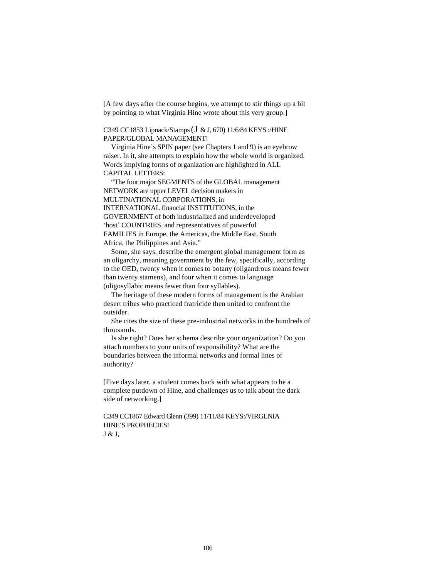[A few days after the course begins, we attempt to stir things up a bit by pointing to what Virginia Hine wrote about this very group.]

## C349 CC1853 Lipnack/Stamps (J & J, 670) 11/6/84 KEYS :/HINE PAPER/GLOBAL MANAGEMENT!

Virginia Hine's SPIN paper (see Chapters 1 and 9) is an eyebrow raiser. In it, she attempts to explain how the whole world is organized. Words implying forms of organization are highlighted in ALL CAPITAL LETTERS:

"The four major SEGMENTS of the GLOBAL management NETWORK are upper LEVEL decision makers in MULTINATIONAL CORPORATIONS, in INTERNATIONAL financial INSTITUTIONS, in the GOVERNMENT of both industrialized and underdeveloped 'host' COUNTRIES, and representatives of powerful FAMILIES in Europe, the Americas, the Middle East, South

Africa, the Philippines and Asia."

Some, she says, describe the emergent global management form as an oligarchy, meaning government by the few, specifically, according to the OED, twenty when it comes to botany (oligandrous means fewer than twenty stamens), and four when it comes to language (oligosyllabic means fewer than four syllables).

The heritage of these modern forms of management is the Arabian desert tribes who practiced fratricide then united to confront the outsider.

She cites the size of these pre-industrial networks in the hundreds of thousands.

Is she right? Does her schema describe your organization? Do you attach numbers to your units of responsibility? What are the boundaries between the informal networks and formal lines of authority?

[Five days later, a student comes back with what appears to be a complete putdown of Hine, and challenges us to talk about the dark side of networking.]

C349 CC1867 Edward Glenn (399) 11/11/84 KEYS:/VIRGLNIA HINE'S PROPHECIES! J & J,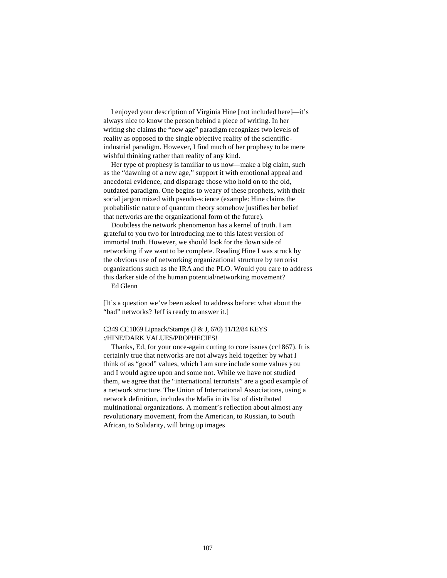I enjoyed your description of Virginia Hine [not included here]—it's always nice to know the person behind a piece of writing. In her writing she claims the "new age" paradigm recognizes two levels of reality as opposed to the single objective reality of the scientificindustrial paradigm. However, I find much of her prophesy to be mere wishful thinking rather than reality of any kind.

Her type of prophesy is familiar to us now—make a big claim, such as the "dawning of a new age," support it with emotional appeal and anecdotal evidence, and disparage those who hold on to the old, outdated paradigm. One begins to weary of these prophets, with their social jargon mixed with pseudo-science (example: Hine claims the probabilistic nature of quantum theory somehow justifies her belief that networks are the organizational form of the future).

Doubtless the network phenomenon has a kernel of truth. I am grateful to you two for introducing me to this latest version of immortal truth. However, we should look for the down side of networking if we want to be complete. Reading Hine I was struck by the obvious use of networking organizational structure by terrorist organizations such as the IRA and the PLO. Would you care to address this darker side of the human potential/networking movement?

Ed Glenn

[It's a question we've been asked to address before: what about the "bad" networks? Jeff is ready to answer it.]

#### C349 CC1869 Lipnack/Stamps (J & J, 670) 11/12/84 KEYS :/HINE/DARK VALUES/PROPHECIES!

Thanks, Ed, for your once-again cutting to core issues (cc1867). It is certainly true that networks are not always held together by what I think of as "good" values, which I am sure include some values you and I would agree upon and some not. While we have not studied them, we agree that the "international terrorists" are a good example of a network structure. The Union of International Associations, using a network definition, includes the Mafia in its list of distributed multinational organizations. A moment's reflection about almost any revolutionary movement, from the American, to Russian, to South African, to Solidarity, will bring up images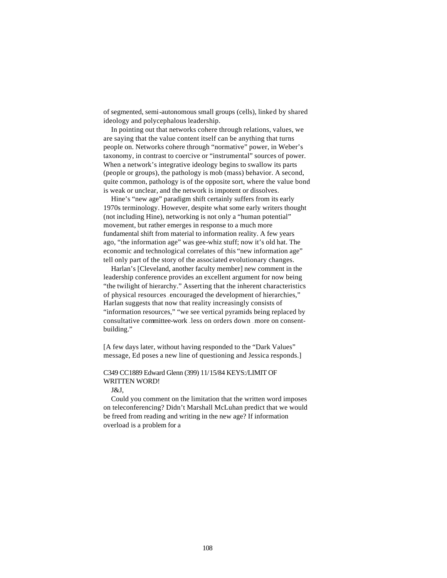of segmented, semi-autonomous small groups (cells), linked by shared ideology and polycephalous leadership.

In pointing out that networks cohere through relations, values, we are saying that the value content itself can be anything that turns people on. Networks cohere through "normative" power, in Weber's taxonomy, in contrast to coercive or "instrumental" sources of power. When a network's integrative ideology begins to swallow its parts (people or groups), the pathology is mob (mass) behavior. A second, quite common, pathology is of the opposite sort, where the value bond is weak or unclear, and the network is impotent or dissolves.

Hine's "new age" paradigm shift certainly suffers from its early 1970s terminology. However, despite what some early writers thought (not including Hine), networking is not only a "human potential" movement, but rather emerges in response to a much more fundamental shift from material to information reality. A few years ago, "the information age" was gee-whiz stuff; now it's old hat. The economic and technological correlates of this "new information age" tell only part of the story of the associated evolutionary changes.

Harlan's [Cleveland, another faculty member] new comment in the leadership conference provides an excellent argument for now being "the twilight of hierarchy." Asserting that the inherent characteristics of physical resources encouraged the development of hierarchies." Harlan suggests that now that reality increasingly consists of "information resources," "we see vertical pyramids being replaced by consultative committee-work less on orders down ... more on consentbuilding."

[A few days later, without having responded to the "Dark Values" message, Ed poses a new line of questioning and Jessica responds.]

# C349 CC1889 Edward Glenn (399) 11/15/84 KEYS:/LIMIT OF WRITTEN WORD!

J&J,

Could you comment on the limitation that the written word imposes on teleconferencing? Didn't Marshall McLuhan predict that we would be freed from reading and writing in the new age? If information overload is a problem for a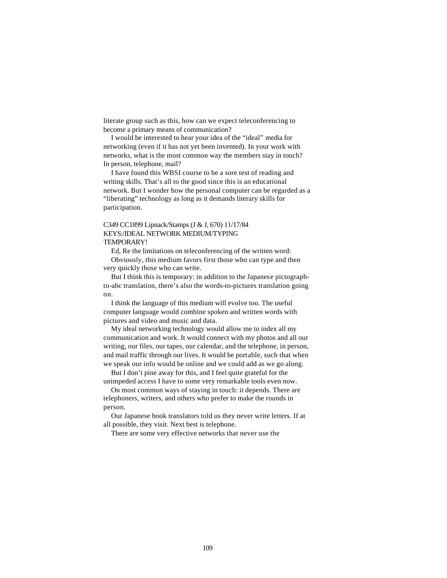literate group such as this, how can we expect teleconferencing to become a primary means of communication?

I would be interested to hear your idea of the "ideal" media for networking (even if it has not yet been invented). In your work with networks, what is the most common way the members stay in touch? In person, telephone, mail?

I have found this WBSI course to be a sore test of reading and writing skills. That's all to the good since this is an educational network. But I wonder how the personal computer can be regarded as a "liberating" technology as long as it demands literary skills for participation.

## C349 CC1899 Lipnack/Stamps (J & J, 670) 11/17/84 KEYS:/IDEAL NETWORK MEDIUM/TYPING TEMPORARY!

Ed, Re the limitations on teleconferencing of the written word:

Obviously, this medium favors first those who can type and then very quickly those who can write.

But I think this is temporary: in addition to the Japanese pictographto-abc translation, there's also the words-to-pictures translation going on.

I think the language of this medium will evolve too. The useful computer language would combine spoken and written words with pictures and video and music and data.

My ideal networking technology would allow me to index all my communication and work. It would connect with my photos and all our writing, our files, our tapes, our calendar, and the telephone, in person, and mail traffic through our lives. It would be portable, such that when we speak our info would be online and we could add as we go along.

But I don't pine away for this, and I feel quite grateful for the unimpeded access I have to some very remarkable tools even now.

On most common ways of staying in touch: it depends. There are telephoners, writers, and others who prefer to make the rounds in person.

Our Japanese book translators told us they never write letters. If at all possible, they visit. Next best is telephone.

There are some very effective networks that never use the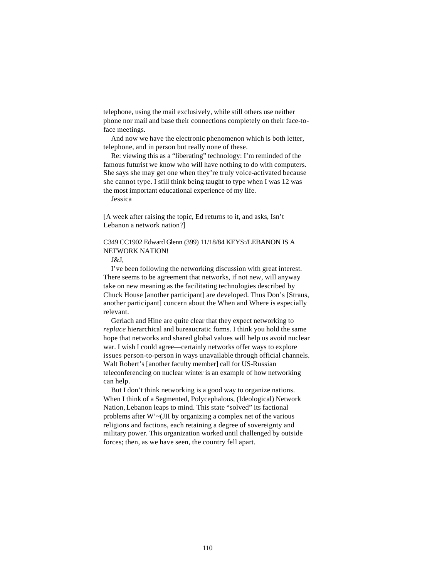telephone, using the mail exclusively, while still others use neither phone nor mail and base their connections completely on their face-toface meetings.

And now we have the electronic phenomenon which is both letter, telephone, and in person but really none of these.

Re: viewing this as a "liberating" technology: I'm reminded of the famous futurist we know who will have nothing to do with computers. She says she may get one when they're truly voice-activated because she cannot type. I still think being taught to type when I was 12 was the most important educational experience of my life.

Jessica

[A week after raising the topic, Ed returns to it, and asks, Isn't Lebanon a network nation?]

## C349 CC1902 Edward Glenn (399) 11/18/84 KEYS:/LEBANON IS A NETWORK NATION!

J&J,

I've been following the networking discussion with great interest. There seems to be agreement that networks, if not new, will anyway take on new meaning as the facilitating technologies described by Chuck House [another participant] are developed. Thus Don's [Straus, another participant] concern about the When and Where is especially relevant.

Gerlach and Hine are quite clear that they expect networking to *replace* hierarchical and bureaucratic forms. I think you hold the same hope that networks and shared global values will help us avoid nuclear war. I wish I could agree—certainly networks offer ways to explore issues person-to-person in ways unavailable through official channels. Walt Robert's [another faculty member] call for US-Russian teleconferencing on nuclear winter is an example of how networking can help.

But I don't think networking is a good way to organize nations. When I think of a Segmented, Polycephalous, (Ideological) Network Nation, Lebanon leaps to mind. This state "solved" its factional problems after W'~(JII by organizing a complex net of the various religions and factions, each retaining a degree of sovereignty and military power. This organization worked until challenged by outside forces; then, as we have seen, the country fell apart.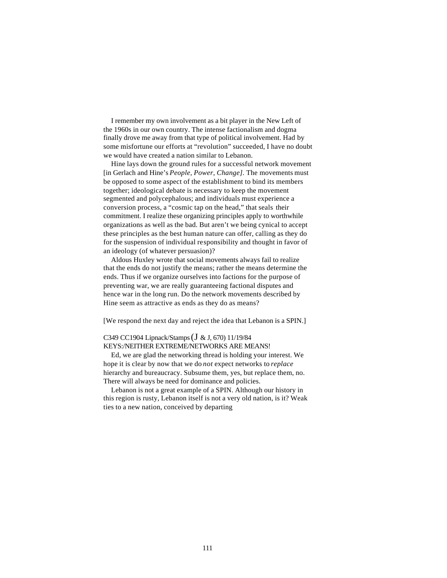I remember my own involvement as a bit player in the New Left of the 1960s in our own country. The intense factionalism and dogma finally drove me away from that type of political involvement. Had by some misfortune our efforts at "revolution" succeeded, I have no doubt we would have created a nation similar to Lebanon.

Hine lays down the ground rules for a successful network movement [in Gerlach and Hine's *People, Power, Change].* The movements must be opposed to some aspect of the establishment to bind its members together; ideological debate is necessary to keep the movement segmented and polycephalous; and individuals must experience a conversion process, a "cosmic tap on the head," that seals their commitment. I realize these organizing principles apply to worthwhile organizations as well as the bad. But aren't we being cynical to accept these principles as the best human nature can offer, calling as they do for the suspension of individual responsibility and thought in favor of an ideology (of whatever persuasion)?

Aldous Huxley wrote that social movements always fail to realize that the ends do not justify the means; rather the means determine the ends. Thus if we organize ourselves into factions for the purpose of preventing war, we are really guaranteeing factional disputes and hence war in the long run. Do the network movements described by Hine seem as attractive as ends as they do as means?

[We respond the next day and reject the idea that Lebanon is a SPIN.]

## C349 CC1904 Lipnack/Stamps (J & J, 670) 11/19/84 KEYS:/NEITHER EXTREME/NETWORKS ARE MEANS!

Ed, we are glad the networking thread is holding your interest. We hope it is clear by now that we do *not* expect networks to *replace*  hierarchy and bureaucracy. Subsume them, yes, but replace them, no. There will always be need for dominance and policies.

Lebanon is not a great example of a SPIN. Although our history in this region is rusty, Lebanon itself is not a very old nation, is it? Weak ties to a new nation, conceived by departing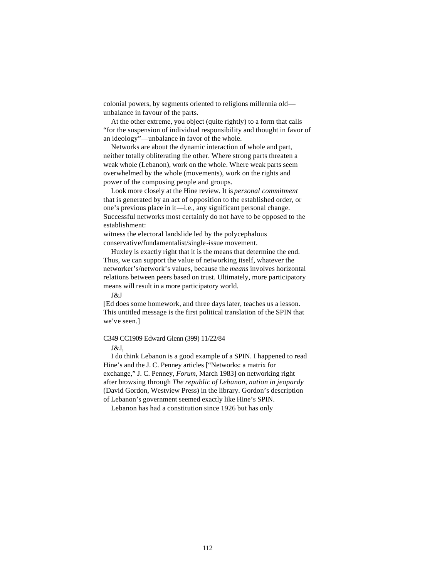colonial powers, by segments oriented to religions millennia old unbalance in favour of the parts.

At the other extreme, you object (quite rightly) to a form that calls "for the suspension of individual responsibility and thought in favor of an ideology"—unbalance in favor of the whole.

Networks are about the dynamic interaction of whole and part, neither totally obliterating the other. Where strong parts threaten a weak whole (Lebanon), work on the whole. Where weak parts seem overwhelmed by the whole (movements), work on the rights and power of the composing people and groups.

Look more closely at the Hine review. It is *personal commitment*  that is generated by an act of opposition to the established order, or one's previous place in it—i.e., any significant personal change. Successful networks most certainly do not have to be opposed to the establishment:

witness the electoral landslide led by the polycephalous conservative/fundamentalist/single-issue movement.

Huxley is exactly right that it is the means that determine the end. Thus, we can support the value of networking itself, whatever the networker's/network's values, because the *means* involves horizontal relations between peers based on trust. Ultimately, more participatory means will result in a more participatory world.

J&J

[Ed does some homework, and three days later, teaches us a lesson. This untitled message is the first political translation of the SPIN that we've seen.]

#### C349 CC1909 Edward Glenn (399) 11/22/84

J&J,

I do think Lebanon is a good example of a SPIN. I happened to read Hine's and the J. C. Penney articles ["Networks: a matrix for exchange," J. C. Penney, *Forum,* March 1983] on networking right after browsing through *The republic of Lebanon, nation in jeopardy*  (David Gordon, Westview Press) in the library. Gordon's description of Lebanon's government seemed exactly like Hine's SPIN.

Lebanon has had a constitution since 1926 but has only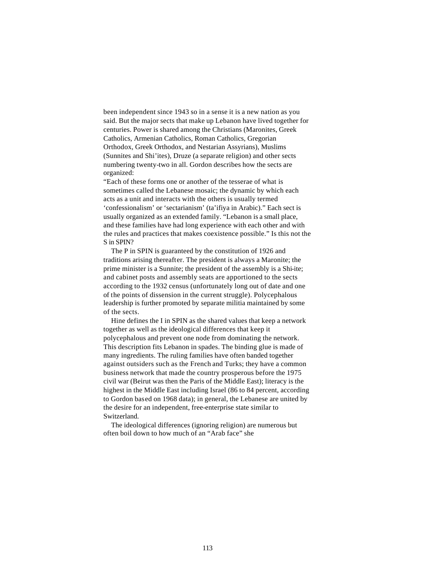been independent since 1943 so in a sense it is a new nation as you said. But the major sects that make up Lebanon have lived together for centuries. Power is shared among the Christians (Maronites, Greek Catholics, Armenian Catholics, Roman Catholics, Gregorian Orthodox, Greek Orthodox, and Nestarian Assyrians), Muslims (Sunnites and Shi'ites), Druze (a separate religion) and other sects numbering twenty-two in all. Gordon describes how the sects are organized:

"Each of these forms one or another of the tesserae of what is sometimes called the Lebanese mosaic; the dynamic by which each acts as a unit and interacts with the others is usually termed 'confessionalism' or 'sectarianism' (ta'ifiya in Arabic)." Each sect is usually organized as an extended family. "Lebanon is a small place, and these families have had long experience with each other and with the rules and practices that makes coexistence possible." Is this not the S in SPIN?

The P in SPIN is guaranteed by the constitution of 1926 and traditions arising thereafter. The president is always a Maronite; the prime minister is a Sunnite; the president of the assembly is a Shi-ite; and cabinet posts and assembly seats are apportioned to the sects according to the 1932 census (unfortunately long out of date and one of the points of dissension in the current struggle). Polycephalous leadership is further promoted by separate militia maintained by some of the sects.

Hine defines the I in SPIN as the shared values that keep a network together as well as the ideological differences that keep it polycephalous and prevent one node from dominating the network. This description fits Lebanon in spades. The binding glue is made of many ingredients. The ruling families have often banded together against outsiders such as the French and Turks; they have a common business network that made the country prosperous before the 1975 civil war (Beirut was then the Paris of the Middle East); literacy is the highest in the Middle East including Israel (86 to 84 percent, according to Gordon based on 1968 data); in general, the Lebanese are united by the desire for an independent, free-enterprise state similar to Switzerland.

The ideological differences (ignoring religion) are numerous but often boil down to how much of an "Arab face" she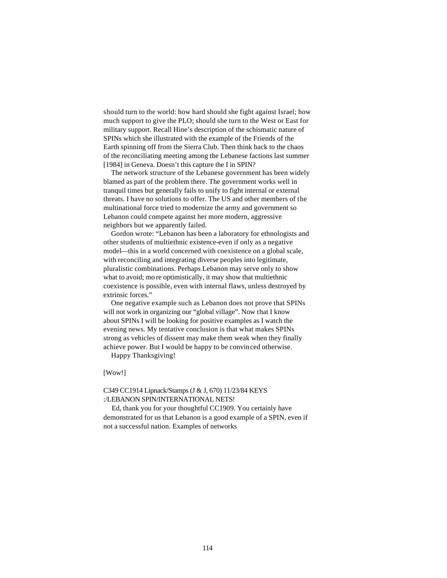should turn to the world: how hard should she fight against Israel; how much support to give the PLO; should she turn to the West or East for military support. Recall Hine's description of the schismatic nature of SPINs which she illustrated with the example of the Friends of the Earth spinning off from the Sierra Club. Then think back to the chaos of the reconciliating meeting among the Lebanese factions last summer [1984] in Geneva. Doesn't this capture the I in SPIN?

The network structure of the Lebanese government has been widely blamed as part of the problem there. The government works well in tranquil times but generally fails to unify to fight internal or external threats. I have no solutions to offer. The US and other members of the multinational force tried to modernize the army and government so Lebanon could compete against her more modern, aggressive neighbors but we apparently failed.

Gordon wrote: "Lebanon has been a laboratory for ethnologists and other students of multiethnic existence-even if only as a negative model—this in a world concerned with coexistence on a global scale, with reconciling and integrating diverse peoples into legitimate, pluralistic combinations. Perhaps Lebanon may serve only to show what to avoid; mo re optimistically, it may show that multiethnic coexistence is possible, even with internal flaws, unless destroyed by extrinsic forces."

One negative example such as Lebanon does not prove that SPINs will not work in organizing our "global village". Now that I know about SPINs I will be looking for positive examples as I watch the evening news. My tentative conclusion is that what makes SPINs strong as vehicles of dissent may make them weak when they finally achieve power. But I would be happy to be convinced otherwise.

Happy Thanksgiving!

[Wow!]

## C349 CC1914 Lipnack/Stamps (J & J, 670) 11/23/84 KEYS :/LEBANON SPIN/INTERNATIONAL NETS!

Ed, thank you for your thoughtful CC1909. You certainly have demonstrated for us that Lebanon is a good example of a SPIN, even if not a successful nation. Examples of networks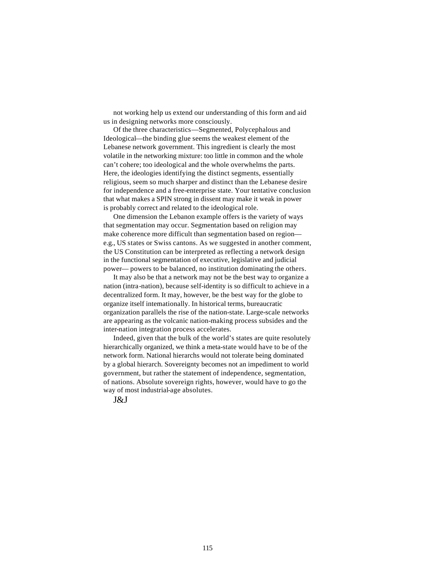not working help us extend our understanding of this form and aid us in designing networks more consciously.

Of the three characteristics—Segmented, Polycephalous and Ideological—the binding glue seems the weakest element of the Lebanese network government. This ingredient is clearly the most volatile in the networking mixture: too little in common and the whole can't cohere; too ideological and the whole overwhelms the parts. Here, the ideologies identifying the distinct segments, essentially religious, seem so much sharper and distinct than the Lebanese desire for independence and a free-enterprise state. Your tentative conclusion that what makes a SPIN strong in dissent may make it weak in power is probably correct and related to the ideological role.

One dimension the Lebanon example offers is the variety of ways that segmentation may occur. Segmentation based on religion may make coherence more difficult than segmentation based on region e.g., US states or Swiss cantons. As we suggested in another comment, the US Constitution can be interpreted as reflecting a network design in the functional segmentation of executive, legislative and judicial power— powers to be balanced, no institution dominating the others.

It may also be that a network may not be the best way to organize a nation (intra-nation), because self-identity is so difficult to achieve in a decentralized form. It may, however, be the best way for the globe to organize itself internationally. In historical terms, bureaucratic organization parallels the rise of the nation-state. Large-scale networks are appearing as the volcanic nation-making process subsides and the inter-nation integration process accelerates.

Indeed, given that the bulk of the world's states are quite resolutely hierarchically organized, we think a meta-state would have to be of the network form. National hierarchs would not tolerate being dominated by a global hierarch. Sovereignty becomes not an impediment to world government, but rather the statement of independence, segmentation, of nations. Absolute sovereign rights, however, would have to go the way of most industrial-age absolutes.

J&J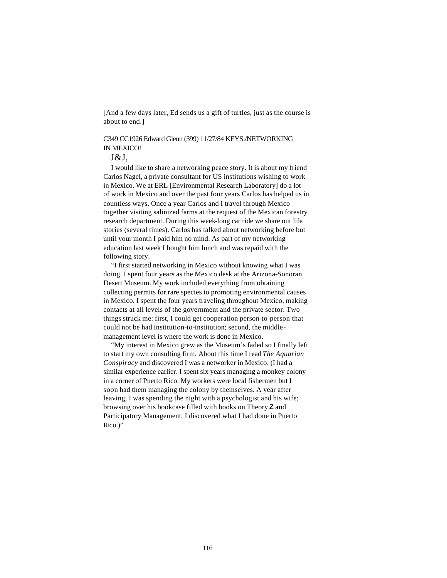[And a few days later, Ed sends us a gift of turtles, just as the course is about to end.]

## C349 CC1926 Edward Glenn (399) 11/27/84 KEYS:/NETWORKING IN MEXICO!

## J&J,

I would like to share a networking peace story. It is about my friend Carlos Nagel, a private consultant for US institutions wishing to work in Mexico. We at ERL [Environmental Research Laboratory] do a lot of work in Mexico and over the past four years Carlos has helped us in countless ways. Once a year Carlos and I travel through Mexico together visiting salinized farms at the request of the Mexican forestry research department. During this week-long car ride we share our life stories (several times). Carlos has talked about networking before but until your month I paid him no mind. As part of my networking education last week I bought him lunch and was repaid with the following story.

"I first started networking in Mexico without knowing what I was doing. I spent four years as the Mexico desk at the Arizona-Sonoran Desert Museum. My work included everything from obtaining collecting permits for rare species to promoting environmental causes in Mexico. I spent the four years traveling throughout Mexico, making contacts at all levels of the government and the private sector. Two things struck me: first, I could get cooperation person-to-person that could not be had institution-to-institution; second, the middlemanagement level is where the work is done in Mexico.

"My interest in Mexico grew as the Museum's faded so I finally left to start my own consulting firm. About this time I read *The Aquarian Conspiracy* and discovered I was a networker in Mexico. (I had a similar experience earlier. I spent six years managing a monkey colony in a corner of Puerto Rico. My workers were local fishermen but I soon had them managing the colony by themselves. A year after leaving, I was spending the night with a psychologist and his wife; browsing over his bookcase filled with books on Theory **Z** and Participatory Management, I discovered what I had done in Puerto Rico.)"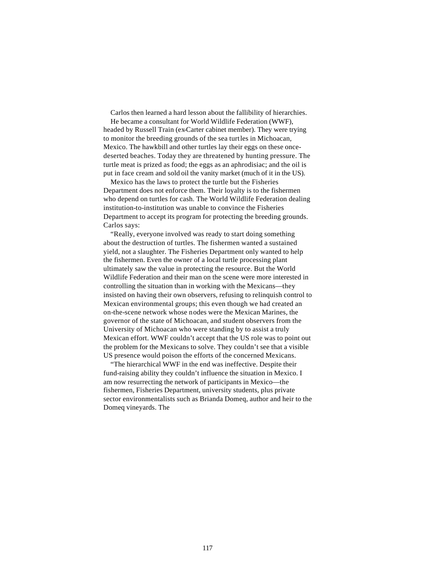Carlos then learned a hard lesson about the fallibility of hierarchies.

He became a consultant for World Wildlife Federation (WWF), headed by Russell Train (ex-Carter cabinet member). They were trying to monitor the breeding grounds of the sea turtles in Michoacan, Mexico. The hawkbill and other turtles lay their eggs on these oncedeserted beaches. Today they are threatened by hunting pressure. The turtle meat is prized as food; the eggs as an aphrodisiac; and the oil is put in face cream and sold oil the vanity market (much of it in the US).

Mexico has the laws to protect the turtle but the Fisheries Department does not enforce them. Their loyalty is to the fishermen who depend on turtles for cash. The World Wildlife Federation dealing institution-to-institution was unable to convince the Fisheries Department to accept its program for protecting the breeding grounds. Carlos says:

"Really, everyone involved was ready to start doing something about the destruction of turtles. The fishermen wanted a sustained yield, not a slaughter. The Fisheries Department only wanted to help the fishermen. Even the owner of a local turtle processing plant ultimately saw the value in protecting the resource. But the World Wildlife Federation and their man on the scene were more interested in controlling the situation than in working with the Mexicans—they insisted on having their own observers, refusing to relinquish control to Mexican environmental groups; this even though we had created an on-the-scene network whose nodes were the Mexican Marines, the governor of the state of Michoacan, and student observers from the University of Michoacan who were standing by to assist a truly Mexican effort. WWF couldn't accept that the US role was to point out the problem for the Mexicans to solve. They couldn't see that a visible US presence would poison the efforts of the concerned Mexicans.

"The hierarchical WWF in the end was ineffective. Despite their fund-raising ability they couldn't influence the situation in Mexico. I am now resurrecting the network of participants in Mexico—the fishermen, Fisheries Department, university students, plus private sector environmentalists such as Brianda Domeq, author and heir to the Domeq vineyards. The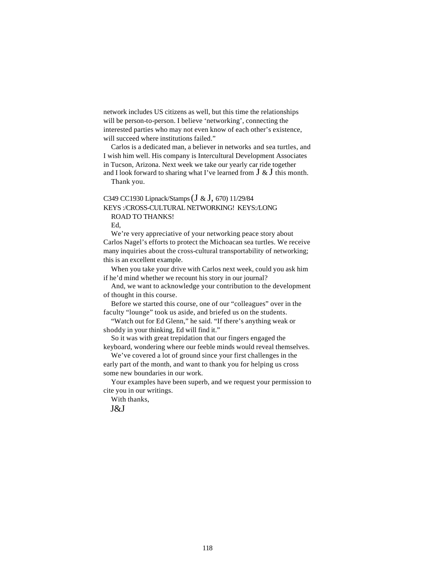network includes US citizens as well, but this time the relationships will be person-to-person. I believe 'networking', connecting the interested parties who may not even know of each other's existence, will succeed where institutions failed."

Carlos is a dedicated man, a believer in networks and sea turtles, and I wish him well. His company is Intercultural Development Associates in Tucson, Arizona. Next week we take our yearly car ride together and I look forward to sharing what I've learned from  $J \& J$  this month.

Thank you.

## C349 CC1930 Lipnack/Stamps (J & J, 670) 11/29/84 KEYS :/CROSS-CULTURAL NETWORKING! KEYS:/LONG ROAD TO THANKS!

Ed,

We're very appreciative of your networking peace story about Carlos Nagel's efforts to protect the Michoacan sea turtles. We receive many inquiries about the cross-cultural transportability of networking; this is an excellent example.

When you take your drive with Carlos next week, could you ask him if he'd mind whether we recount his story in our journal?

And, we want to acknowledge your contribution to the development of thought in this course.

Before we started this course, one of our "colleagues" over in the faculty "lounge" took us aside, and briefed us on the students.

"Watch out for Ed Glenn," he said. "If there's anything weak or shoddy in your thinking, Ed will find it."

So it was with great trepidation that our fingers engaged the keyboard, wondering where our feeble minds would reveal themselves.

We've covered a lot of ground since your first challenges in the early part of the month, and want to thank you for helping us cross some new boundaries in our work.

Your examples have been superb, and we request your permission to cite you in our writings.

With thanks,

J&J